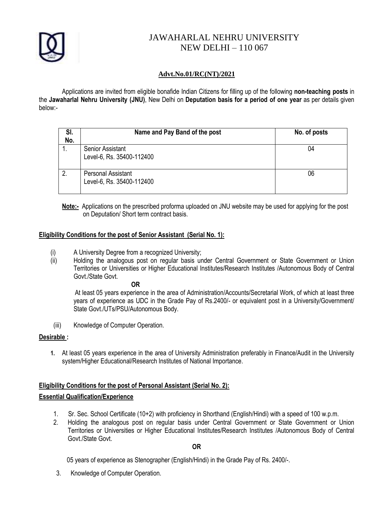

## JAWAHARLAL NEHRU UNIVERSITY NEW DELHI – 110 067

## **Advt.No.01/RC(NT)/2021**

Applications are invited from eligible bonafide Indian Citizens for filling up of the following **non-teaching posts** in the **Jawaharlal Nehru University (JNU)**, New Delhi on **Deputation basis for a period of one year** as per details given below:-

| SI.<br>No. | Name and Pay Band of the post                        | No. of posts |
|------------|------------------------------------------------------|--------------|
|            | <b>Senior Assistant</b><br>Level-6, Rs. 35400-112400 | 04           |
| 2.         | Personal Assistant<br>Level-6, Rs. 35400-112400      | 06           |

**Note:-** Applications on the prescribed proforma uploaded on JNU website may be used for applying for the post on Deputation/ Short term contract basis.

## **Eligibility Conditions for the post of Senior Assistant (Serial No. 1):**

- (i) A University Degree from a recognized University;
- (ii) Holding the analogous post on regular basis under Central Government or State Government or Union Territories or Universities or Higher Educational Institutes/Research Institutes /Autonomous Body of Central Govt./State Govt.

**OR**

 At least 05 years experience in the area of Administration/Accounts/Secretarial Work, of which at least three years of experience as UDC in the Grade Pay of Rs.2400/- or equivalent post in a University/Government/ State Govt./UTs/PSU/Autonomous Body.

(iii) Knowledge of Computer Operation.

### **Desirable :**

**1.** At least 05 years experience in the area of University Administration preferably in Finance/Audit in the University system/Higher Educational/Research Institutes of National Importance.

# **Eligibility Conditions for the post of Personal Assistant (Serial No. 2):**

## **Essential Qualification/Experience**

- 1. Sr. Sec. School Certificate (10+2) with proficiency in Shorthand (English/Hindi) with a speed of 100 w.p.m.
- 2. Holding the analogous post on regular basis under Central Government or State Government or Union Territories or Universities or Higher Educational Institutes/Research Institutes /Autonomous Body of Central Govt./State Govt.

**OR**

05 years of experience as Stenographer (English/Hindi) in the Grade Pay of Rs. 2400/-.

3. Knowledge of Computer Operation.